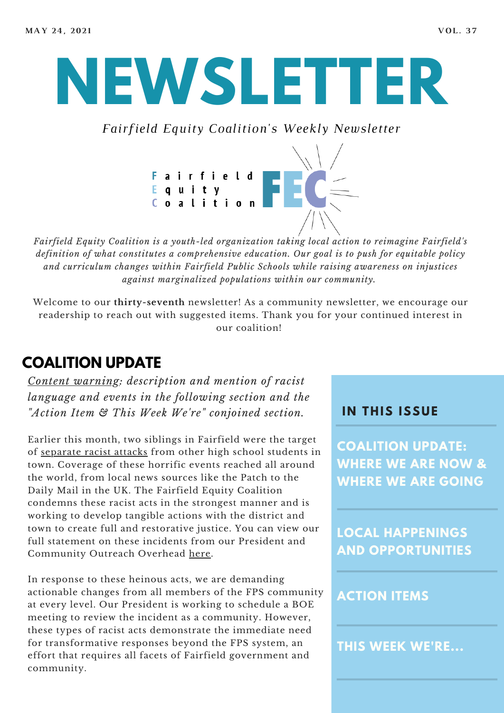# **NEWSLETTER**

*Fairfield Equity Coalition's Weekly Newsletter*



*Fairfield Equity Coalition is a youth-led organization taking local action to reimagine Fairfield's definition of what constitutes a comprehensive education. Our goal is to push for equitable policy and curriculum changes within Fairfield Public Schools while raising awareness on injustices against marginalized populations within our community.*

Welcome to our **thirty-seventh** newsletter! As a community newsletter, we encourage our readership to reach out with suggested items. Thank you for your continued interest in our coalition!

## **COALITION UPDATE**

*Content warning: description and mention of racist language and events in the following section and the "Action Item & This Week We're" conjoined section.*

Earlier this month, two siblings in Fairfield were the target of [separate](https://patch.com/connecticut/fairfield/2nd-racist-attack-involving-fairfield-hs-students-reported) racist attacks from other high school students in town. Coverage of these horrific events reached all around the world, from local news sources like the Patch to the Daily Mail in the UK. The Fairfield Equity Coalition condemns these racist acts in the strongest manner and is working to develop tangible actions with the district and town to create full and restorative justice. You can view our full statement on these incidents from our President and Community Outreach Overhead [here.](https://docs.google.com/document/d/1iDZPv7X2Sy6xUMrsSe9t5s_l1_0ZidH2P7gvrBKClMA/edit?usp=sharing)

In response to these heinous acts, we are demanding actionable changes from all members of the FPS community at every level. Our President is working to schedule a BOE meeting to review the incident as a community. However, these types of racist acts demonstrate the immediate need for transformative responses beyond the FPS system, an effort that requires all facets of Fairfield government and community.

#### **I N THIS ISSUE**

**COALITION UPDATE: WHERE WE ARE NOW & WHERE WE ARE GOING**

**LOCAL HAPPENINGS AND OPPORTUNITIES**

#### **ACTION ITEMS**

**THIS WEEK WE'RE...**